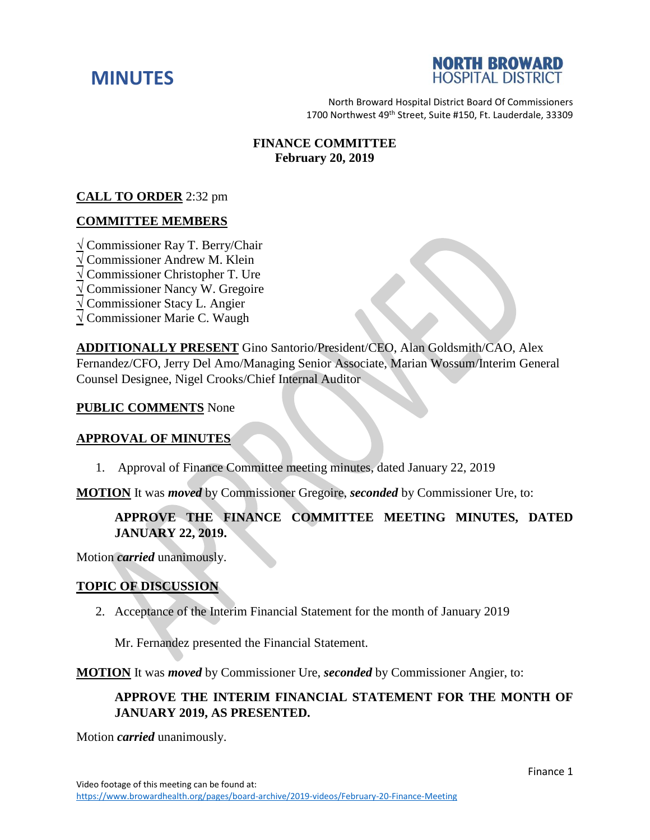



North Broward Hospital District Board Of Commissioners 1700 Northwest 49<sup>th</sup> Street, Suite #150, Ft. Lauderdale, 33309

## **FINANCE COMMITTEE February 20, 2019**

# **CALL TO ORDER** 2:32 pm

#### **COMMITTEE MEMBERS**

**√** Commissioner Ray T. Berry/Chair

**√** Commissioner Andrew M. Klein

**√** Commissioner Christopher T. Ure

**√** Commissioner Nancy W. Gregoire

**√** Commissioner Stacy L. Angier

**√** Commissioner Marie C. Waugh

**ADDITIONALLY PRESENT** Gino Santorio/President/CEO, Alan Goldsmith/CAO, Alex Fernandez/CFO, Jerry Del Amo/Managing Senior Associate, Marian Wossum/Interim General Counsel Designee, Nigel Crooks/Chief Internal Auditor

#### **PUBLIC COMMENTS** None

#### **APPROVAL OF MINUTES**

1. Approval of Finance Committee meeting minutes, dated January 22, 2019

**MOTION** It was *moved* by Commissioner Gregoire, *seconded* by Commissioner Ure, to:

# **APPROVE THE FINANCE COMMITTEE MEETING MINUTES, DATED JANUARY 22, 2019.**

Motion *carried* unanimously.

### **TOPIC OF DISCUSSION**

2. Acceptance of the Interim Financial Statement for the month of January 2019

Mr. Fernandez presented the Financial Statement.

**MOTION** It was *moved* by Commissioner Ure, *seconded* by Commissioner Angier, to:

## **APPROVE THE INTERIM FINANCIAL STATEMENT FOR THE MONTH OF JANUARY 2019, AS PRESENTED.**

Motion *carried* unanimously.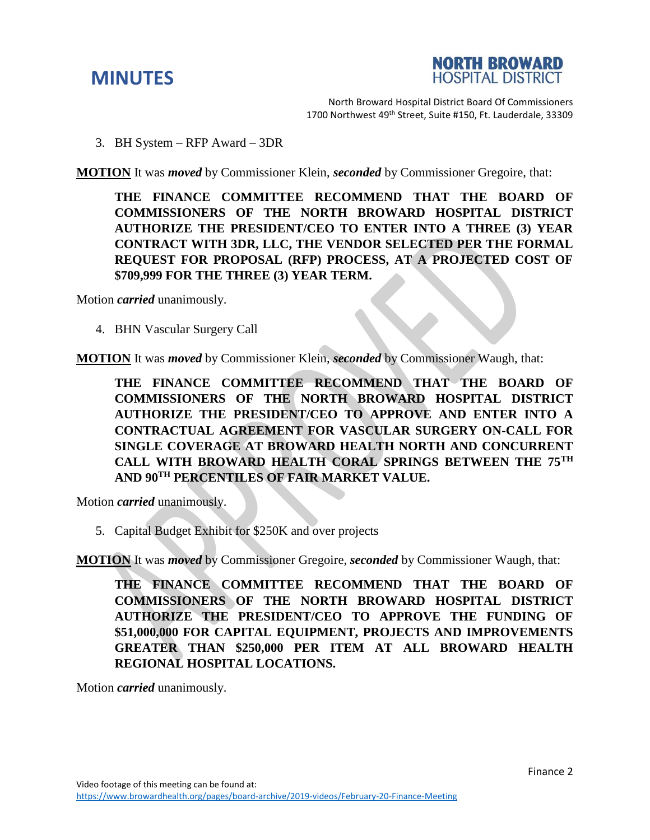



North Broward Hospital District Board Of Commissioners 1700 Northwest 49<sup>th</sup> Street, Suite #150, Ft. Lauderdale, 33309

3. BH System – RFP Award – 3DR

**MOTION** It was *moved* by Commissioner Klein, *seconded* by Commissioner Gregoire, that:

**THE FINANCE COMMITTEE RECOMMEND THAT THE BOARD OF COMMISSIONERS OF THE NORTH BROWARD HOSPITAL DISTRICT AUTHORIZE THE PRESIDENT/CEO TO ENTER INTO A THREE (3) YEAR CONTRACT WITH 3DR, LLC, THE VENDOR SELECTED PER THE FORMAL REQUEST FOR PROPOSAL (RFP) PROCESS, AT A PROJECTED COST OF \$709,999 FOR THE THREE (3) YEAR TERM.**

Motion *carried* unanimously.

4. BHN Vascular Surgery Call

**MOTION** It was *moved* by Commissioner Klein, *seconded* by Commissioner Waugh, that:

**THE FINANCE COMMITTEE RECOMMEND THAT THE BOARD OF COMMISSIONERS OF THE NORTH BROWARD HOSPITAL DISTRICT AUTHORIZE THE PRESIDENT/CEO TO APPROVE AND ENTER INTO A CONTRACTUAL AGREEMENT FOR VASCULAR SURGERY ON-CALL FOR SINGLE COVERAGE AT BROWARD HEALTH NORTH AND CONCURRENT CALL WITH BROWARD HEALTH CORAL SPRINGS BETWEEN THE 75TH AND 90TH PERCENTILES OF FAIR MARKET VALUE.** 

Motion *carried* unanimously.

5. Capital Budget Exhibit for \$250K and over projects

**MOTION** It was *moved* by Commissioner Gregoire, *seconded* by Commissioner Waugh, that:

**THE FINANCE COMMITTEE RECOMMEND THAT THE BOARD OF COMMISSIONERS OF THE NORTH BROWARD HOSPITAL DISTRICT AUTHORIZE THE PRESIDENT/CEO TO APPROVE THE FUNDING OF \$51,000,000 FOR CAPITAL EQUIPMENT, PROJECTS AND IMPROVEMENTS GREATER THAN \$250,000 PER ITEM AT ALL BROWARD HEALTH REGIONAL HOSPITAL LOCATIONS.** 

Motion *carried* unanimously.